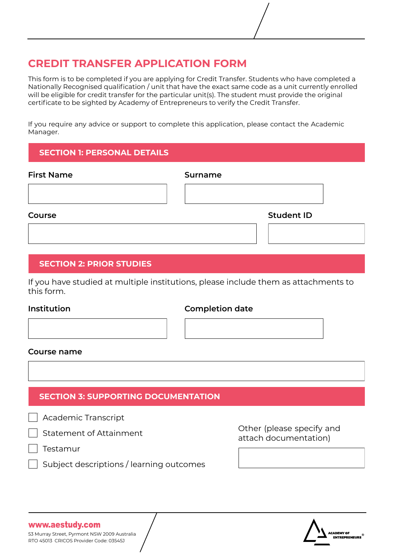# **CREDIT TRANSFER APPLICATION FORM**

This form is to be completed if you are applying for Credit Transfer. Students who have completed a Nationally Recognised qualification / unit that have the exact same code as a unit currently enrolled will be eligible for credit transfer for the particular unit(s). The student must provide the original certificate to be sighted by Academy of Entrepreneurs to verify the Credit Transfer.

If you require any advice or support to complete this application, please contact the Academic Manager.

### **SECTION 1: PERSONAL DETAILS**

| <b>First Name</b> | <b>Surname</b>    |
|-------------------|-------------------|
|                   |                   |
| Course            | <b>Student ID</b> |
|                   |                   |

### **SECTION 2: PRIOR STUDIES**

If you have studied at multiple institutions, please include them as attachments to this form.

### **Institution**

### **Completion date**

#### **Course name**

## **SECTION 3: SUPPORTING DOCUMENTATION**

Academic Transcript

Statement of Attainment

Testamur

Subject descriptions / learning outcomes

Other (please specify and attach documentation)



#### www.aestudy.com

53 Murray Street, Pyrmont NSW 2009 Australia RTO 45013 CRICOS Provider Code: 03545J